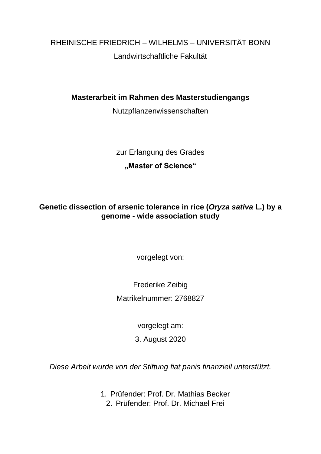RHEINISCHE FRIEDRICH – WILHELMS – UNIVERSITÄT BONN Landwirtschaftliche Fakultät

**Masterarbeit im Rahmen des Masterstudiengangs**

Nutzpflanzenwissenschaften

zur Erlangung des Grades

## **"Master of Science"**

## **Genetic dissection of arsenic tolerance in rice (***Oryza sativa* **L.) by a genome - wide association study**

vorgelegt von:

Frederike Zeibig

Matrikelnummer: 2768827

vorgelegt am:

3. August 2020

*Diese Arbeit wurde von der Stiftung fiat panis finanziell unterstützt.*

1. Prüfender: Prof. Dr. Mathias Becker

2. Prüfender: Prof. Dr. Michael Frei